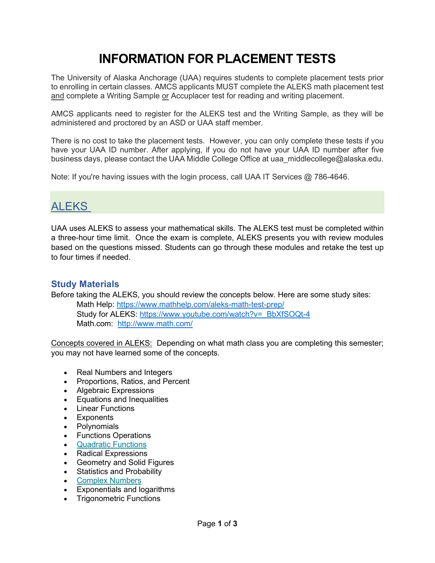# **INFORMATION FOR PLACEMENT TESTS**

The University of Alaska Anchorage (UAA) requires students to complete placement tests prior to enrolling in certain classes. AMCS applicants MUST complete the ALEKS math placement test and complete a Writing Sample or Accuplacer test for reading and writing placement.

AMCS applicants need to register for the ALEKS test and the Writing Sample, as they will be administered and proctored by an ASD or UAA staff member.

There is no cost to take the placement tests. However, you can only complete these tests if you have your UAA ID number. After applying, if you do not have your UAA ID number after five business days, please contact the UAA Middle College Office at uaa middlecollege@alaska.edu.

Note: If you're having issues with the login process, call UAA IT Services @ 786-4646.

## **ALEKS**

UAA uses ALEKS to assess your mathematical skills. The ALEKS test must be completed within a three-hour time limit. Once the exam is complete, ALEKS presents you with review modules based on the questions missed. Students can go through these modules and retake the test up to four times if needed.

### **Study Materials**

Before taking the ALEKS, you should review the concepts below. Here are some study sites:

Math Help:<https://www.mathhelp.com/aleks-math-test-prep/> Study for ALEKS: [https://www.youtube.com/watch?v=\\_BbXfSOQt-4](https://www.youtube.com/watch?v=_BbXfSOQt-4) Math.com: <http://www.math.com/>

Concepts covered in ALEKS: Depending on what math class you are completing this semester; you may not have learned some of the concepts.

- Real Numbers and Integers
- Proportions, Ratios, and Percent
- Algebraic Expressions
- Equations and Inequalities
- Linear Functions
- Exponents
- Polynomials
- Functions Operations
- [Quadratic Functions](https://www.effortlessmath.com/math-topics/solving-a-quadratic-equation/)
- Radical Expressions
- Geometry and Solid Figures
- Statistics and Probability
- [Complex Numbers](https://www.effortlessmath.com/math-topics/multiplying-and-dividing-complex-numbers/)
- Exponentials and logarithms
- Trigonometric Functions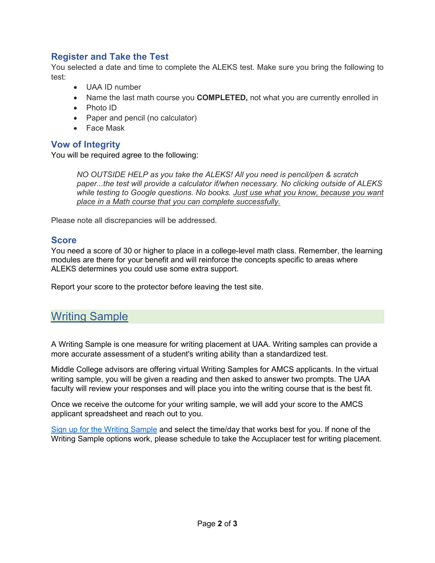### **Register and Take the Test**

You selected a date and time to complete the ALEKS test. Make sure you bring the following to test:

- UAA ID number
- Name the last math course you **COMPLETED,** not what you are currently enrolled in
- Photo ID
- Paper and pencil (no calculator)
- Face Mask

### **Vow of Integrity**

You will be required agree to the following:

*NO OUTSIDE HELP as you take the ALEKS! All you need is pencil/pen & scratch paper...the test will provide a calculator if/when necessary. No clicking outside of ALEKS while testing to Google questions. No books. Just use what you know, because you want place in a Math course that you can complete successfully.*

Please note all discrepancies will be addressed.

#### **Score**

You need a score of 30 or higher to place in a college-level math class. Remember, the learning modules are there for your benefit and will reinforce the concepts specific to areas where ALEKS determines you could use some extra support.

Report your score to the protector before leaving the test site.

### Writing Sample

A Writing Sample is one measure for writing placement at UAA. Writing samples can provide a more accurate assessment of a student's writing ability than a standardized test.

Middle College advisors are offering virtual Writing Samples for AMCS applicants. In the virtual writing sample, you will be given a reading and then asked to answer two prompts. The UAA faculty will review your responses and will place you into the writing course that is the best fit.

Once we receive the outcome for your writing sample, we will add your score to the AMCS applicant spreadsheet and reach out to you.

[Sign up for the Writing Sample](https://forms.gle/9hJxBrVnn3Sf8D8n9) and select the time/day that works best for you. If none of the Writing Sample options work, please schedule to take the Accuplacer test for writing placement.